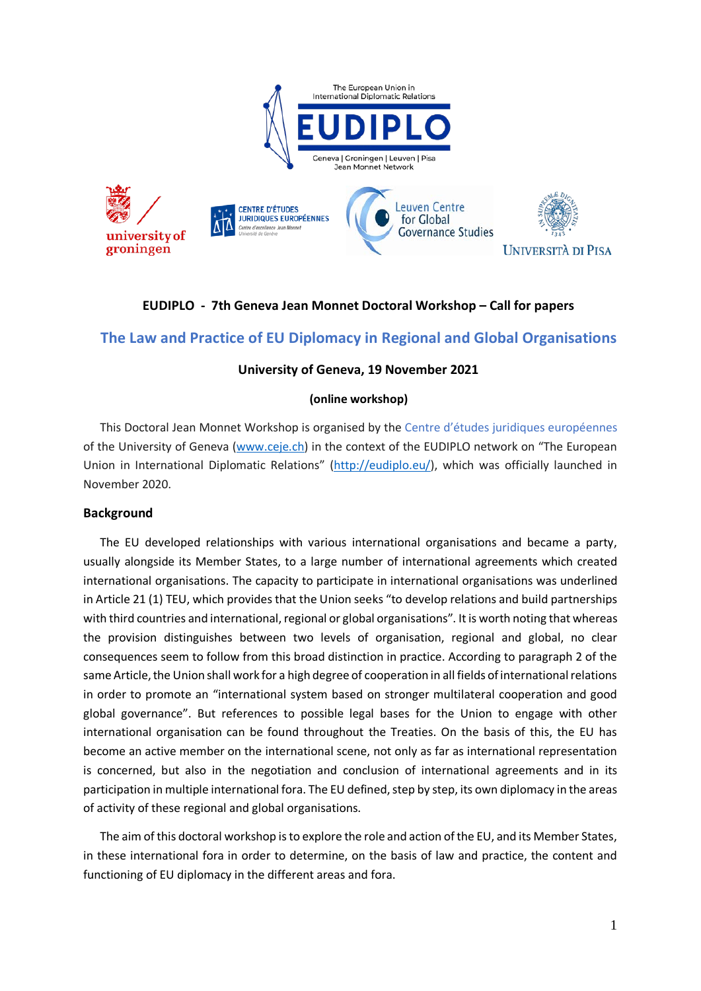

## **EUDIPLO - 7th Geneva Jean Monnet Doctoral Workshop – Call for papers**

# **The Law and Practice of EU Diplomacy in Regional and Global Organisations**

### **University of Geneva, 19 November 2021**

#### **(online workshop)**

This Doctoral Jean Monnet Workshop is organised by the Centre d'études juridiques européennes of the University of Geneva [\(www.ceje.ch\)](http://www.ceje.ch/) in the context of the EUDIPLO network on "The European Union in International Diplomatic Relations" [\(http://eudiplo.eu/\)](http://eudiplo.eu/), which was officially launched in November 2020.

#### **Background**

The EU developed relationships with various international organisations and became a party, usually alongside its Member States, to a large number of international agreements which created international organisations. The capacity to participate in international organisations was underlined in Article 21 (1) TEU, which provides that the Union seeks "to develop relations and build partnerships with third countries and international, regional or global organisations". It is worth noting that whereas the provision distinguishes between two levels of organisation, regional and global, no clear consequences seem to follow from this broad distinction in practice. According to paragraph 2 of the same Article, the Union shall work for a high degree of cooperation in all fields of international relations in order to promote an "international system based on stronger multilateral cooperation and good global governance". But references to possible legal bases for the Union to engage with other international organisation can be found throughout the Treaties. On the basis of this, the EU has become an active member on the international scene, not only as far as international representation is concerned, but also in the negotiation and conclusion of international agreements and in its participation in multiple international fora. The EU defined, step by step, its own diplomacy in the areas of activity of these regional and global organisations.

The aim of this doctoral workshop is to explore the role and action of the EU, and its Member States, in these international fora in order to determine, on the basis of law and practice, the content and functioning of EU diplomacy in the different areas and fora.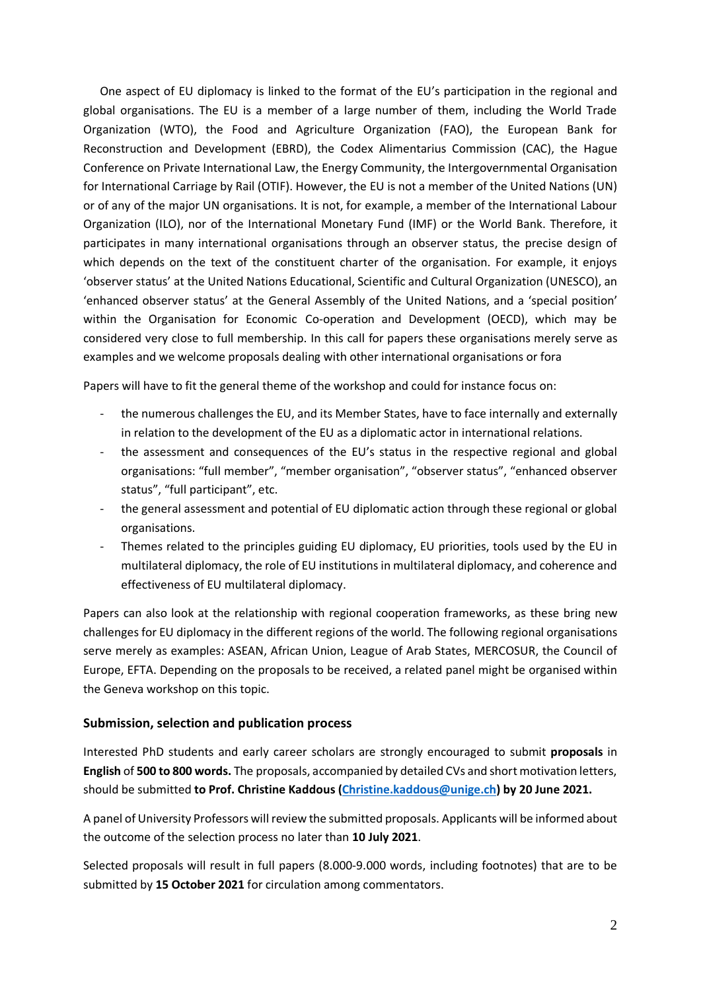One aspect of EU diplomacy is linked to the format of the EU's participation in the regional and global organisations. The EU is a member of a large number of them, including the World Trade Organization (WTO), the Food and Agriculture Organization (FAO), the European Bank for Reconstruction and Development (EBRD), the Codex Alimentarius Commission (CAC), the Hague Conference on Private International Law, the Energy Community, the Intergovernmental Organisation for International Carriage by Rail (OTIF). However, the EU is not a member of the United Nations (UN) or of any of the major UN organisations. It is not, for example, a member of the International Labour Organization (ILO), nor of the International Monetary Fund (IMF) or the World Bank. Therefore, it participates in many international organisations through an observer status, the precise design of which depends on the text of the constituent charter of the organisation. For example, it enjoys 'observer status' at the United Nations Educational, Scientific and Cultural Organization (UNESCO), an 'enhanced observer status' at the General Assembly of the United Nations, and a 'special position' within the Organisation for Economic Co-operation and Development (OECD), which may be considered very close to full membership. In this call for papers these organisations merely serve as examples and we welcome proposals dealing with other international organisations or fora

Papers will have to fit the general theme of the workshop and could for instance focus on:

- the numerous challenges the EU, and its Member States, have to face internally and externally in relation to the development of the EU as a diplomatic actor in international relations.
- the assessment and consequences of the EU's status in the respective regional and global organisations: "full member", "member organisation", "observer status", "enhanced observer status", "full participant", etc.
- the general assessment and potential of EU diplomatic action through these regional or global organisations.
- Themes related to the principles guiding EU diplomacy, EU priorities, tools used by the EU in multilateral diplomacy, the role of EU institutions in multilateral diplomacy, and coherence and effectiveness of EU multilateral diplomacy.

Papers can also look at the relationship with regional cooperation frameworks, as these bring new challenges for EU diplomacy in the different regions of the world. The following regional organisations serve merely as examples: ASEAN, African Union, League of Arab States, MERCOSUR, the Council of Europe, EFTA. Depending on the proposals to be received, a related panel might be organised within the Geneva workshop on this topic.

### **Submission, selection and publication process**

Interested PhD students and early career scholars are strongly encouraged to submit **proposals** in **English** of **500 to 800 words.** The proposals, accompanied by detailed CVs and short motivation letters, should be submitted **to Prof. Christine Kaddous [\(Christine.kaddous@unige.ch\)](mailto:Christine.kaddous@unige.ch) by 20 June 2021.**

A panel of University Professors will review the submitted proposals. Applicants will be informed about the outcome of the selection process no later than **10 July 2021**.

Selected proposals will result in full papers (8.000-9.000 words, including footnotes) that are to be submitted by **15 October 2021** for circulation among commentators.